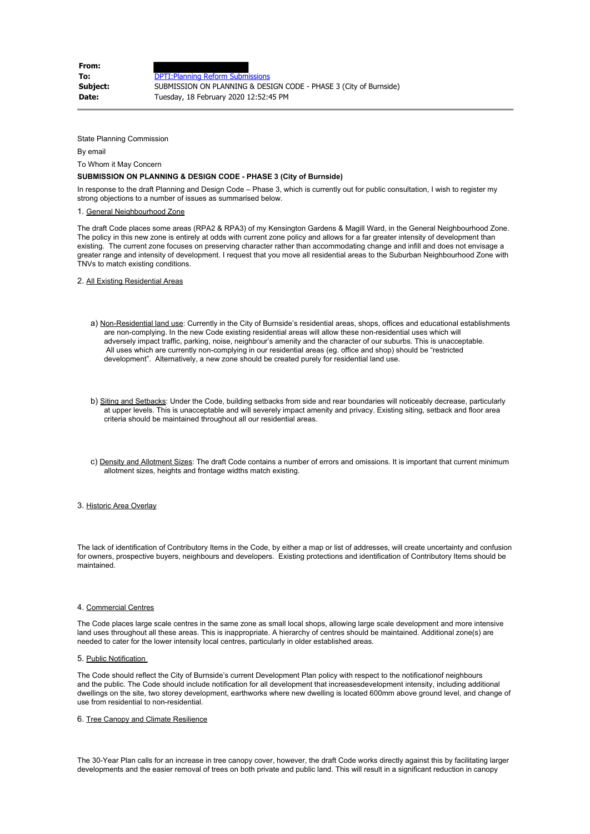| From:    |                                                                   |
|----------|-------------------------------------------------------------------|
| To:      | <b>DPTI: Planning Reform Submissions</b>                          |
| Subject: | SUBMISSION ON PLANNING & DESIGN CODE - PHASE 3 (City of Burnside) |
| Date:    | Tuesday, 18 February 2020 12:52:45 PM                             |

State Planning Commission

By email

To Whom it May Concern

# **SUBMISSION ON PLANNING & DESIGN CODE - PHASE 3 (City of Burnside)**

In response to the draft Planning and Design Code – Phase 3, which is currently out for public consultation, I wish to register my strong objections to a number of issues as summarised below.

#### 1. General Neighbourhood Zone

The draft Code places some areas (RPA2 & RPA3) of my Kensington Gardens & Magill Ward, in the General Neighbourhood Zone. The policy in this new zone is entirely at odds with current zone policy and allows for a far greater intensity of development than existing. The current zone focuses on preserving character rather than accommodating change and infill and does not envisage a greater range and intensity of development. I request that you move all residential areas to the Suburban Neighbourhood Zone with TNVs to match existing conditions.

#### 2. All Existing Residential Areas

- a) Non-Residential land use: Currently in the City of Burnside's residential areas, shops, offices and educational establishments are non-complying. In the new Code existing residential areas will allow these non-residential uses which will adversely impact traffic, parking, noise, neighbour's amenity and the character of our suburbs. This is unacceptable. All uses which are currently non-complying in our residential areas (eg. office and shop) should be "restricted development". Alternatively, a new zone should be created purely for residential land use.
- b) Siting and Setbacks: Under the Code, building setbacks from side and rear boundaries will noticeably decrease, particularly at upper levels. This is unacceptable and will severely impact amenity and privacy. Existing siting, setback and floor area criteria should be maintained throughout all our residential areas.
- c) Density and Allotment Sizes: The draft Code contains a number of errors and omissions. It is important that current minimum allotment sizes, heights and frontage widths match existing.

#### 3. Historic Area Overlay

The lack of identification of Contributory Items in the Code, by either a map or list of addresses, will create uncertainty and confusion for owners, prospective buyers, neighbours and developers. Existing protections and identification of Contributory Items should be maintained.

## 4. Commercial Centres

The Code places large scale centres in the same zone as small local shops, allowing large scale development and more intensive land uses throughout all these areas. This is inappropriate. A hierarchy of centres should be maintained. Additional zone(s) are needed to cater for the lower intensity local centres, particularly in older established areas.

#### 5. Public Notification

The Code should reflect the City of Burnside's current Development Plan policy with respect to the notificationof neighbours and the public. The Code should include notification for all development that increasesdevelopment intensity, including additional dwellings on the site, two storey development, earthworks where new dwelling is located 600mm above ground level, and change of use from residential to non-residential.

### 6. Tree Canopy and Climate Resilience

The 30-Year Plan calls for an increase in tree canopy cover, however, the draft Code works directly against this by facilitating larger developments and the easier removal of trees on both private and public land. This will result in a significant reduction in canopy